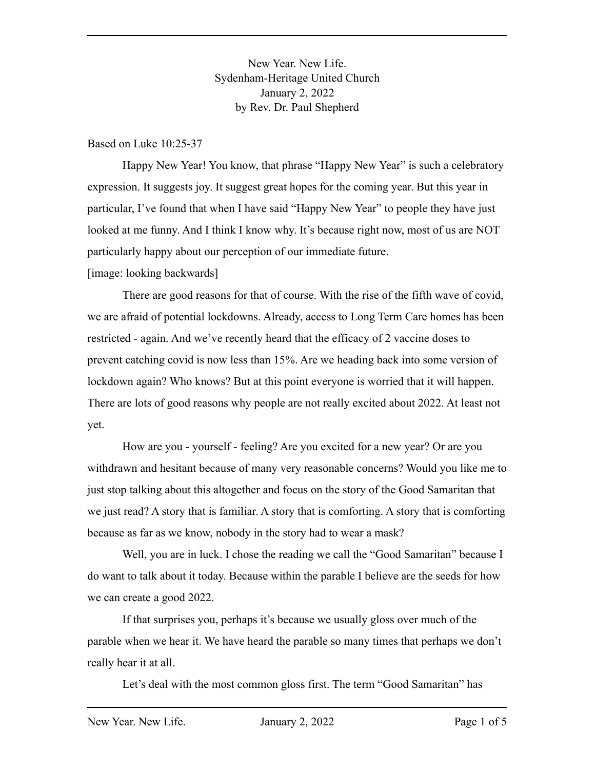New Year. New Life. Sydenham-Heritage United Church January 2, 2022 by Rev. Dr. Paul Shepherd

Based on Luke 10:25-37

Happy New Year! You know, that phrase "Happy New Year" is such a celebratory expression. It suggests joy. It suggest great hopes for the coming year. But this year in particular, I've found that when I have said "Happy New Year" to people they have just looked at me funny. And I think I know why. It's because right now, most of us are NOT particularly happy about our perception of our immediate future.

[image: looking backwards]

There are good reasons for that of course. With the rise of the fifth wave of covid, we are afraid of potential lockdowns. Already, access to Long Term Care homes has been restricted - again. And we've recently heard that the efficacy of 2 vaccine doses to prevent catching covid is now less than 15%. Are we heading back into some version of lockdown again? Who knows? But at this point everyone is worried that it will happen. There are lots of good reasons why people are not really excited about 2022. At least not yet.

How are you - yourself - feeling? Are you excited for a new year? Or are you withdrawn and hesitant because of many very reasonable concerns? Would you like me to just stop talking about this altogether and focus on the story of the Good Samaritan that we just read? A story that is familiar. A story that is comforting. A story that is comforting because as far as we know, nobody in the story had to wear a mask?

Well, you are in luck. I chose the reading we call the "Good Samaritan" because I do want to talk about it today. Because within the parable I believe are the seeds for how we can create a good 2022.

If that surprises you, perhaps it's because we usually gloss over much of the parable when we hear it. We have heard the parable so many times that perhaps we don't really hear it at all.

Let's deal with the most common gloss first. The term "Good Samaritan" has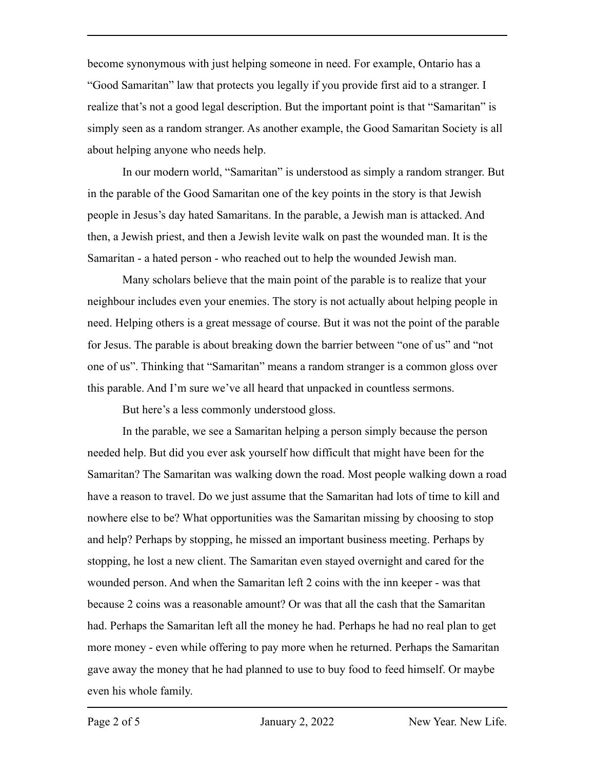become synonymous with just helping someone in need. For example, Ontario has a "Good Samaritan" law that protects you legally if you provide first aid to a stranger. I realize that's not a good legal description. But the important point is that "Samaritan" is simply seen as a random stranger. As another example, the Good Samaritan Society is all about helping anyone who needs help.

In our modern world, "Samaritan" is understood as simply a random stranger. But in the parable of the Good Samaritan one of the key points in the story is that Jewish people in Jesus's day hated Samaritans. In the parable, a Jewish man is attacked. And then, a Jewish priest, and then a Jewish levite walk on past the wounded man. It is the Samaritan - a hated person - who reached out to help the wounded Jewish man.

Many scholars believe that the main point of the parable is to realize that your neighbour includes even your enemies. The story is not actually about helping people in need. Helping others is a great message of course. But it was not the point of the parable for Jesus. The parable is about breaking down the barrier between "one of us" and "not one of us". Thinking that "Samaritan" means a random stranger is a common gloss over this parable. And I'm sure we've all heard that unpacked in countless sermons.

But here's a less commonly understood gloss.

In the parable, we see a Samaritan helping a person simply because the person needed help. But did you ever ask yourself how difficult that might have been for the Samaritan? The Samaritan was walking down the road. Most people walking down a road have a reason to travel. Do we just assume that the Samaritan had lots of time to kill and nowhere else to be? What opportunities was the Samaritan missing by choosing to stop and help? Perhaps by stopping, he missed an important business meeting. Perhaps by stopping, he lost a new client. The Samaritan even stayed overnight and cared for the wounded person. And when the Samaritan left 2 coins with the inn keeper - was that because 2 coins was a reasonable amount? Or was that all the cash that the Samaritan had. Perhaps the Samaritan left all the money he had. Perhaps he had no real plan to get more money - even while offering to pay more when he returned. Perhaps the Samaritan gave away the money that he had planned to use to buy food to feed himself. Or maybe even his whole family.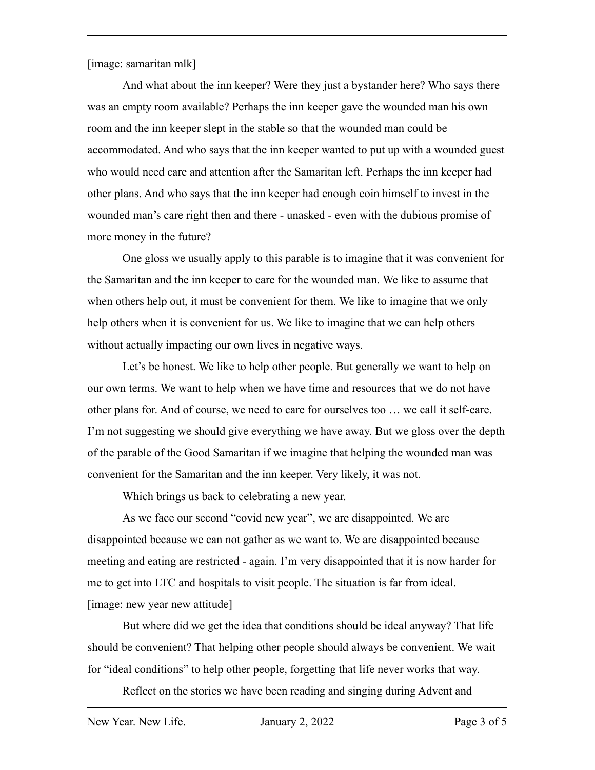[image: samaritan mlk]

And what about the inn keeper? Were they just a bystander here? Who says there was an empty room available? Perhaps the inn keeper gave the wounded man his own room and the inn keeper slept in the stable so that the wounded man could be accommodated. And who says that the inn keeper wanted to put up with a wounded guest who would need care and attention after the Samaritan left. Perhaps the inn keeper had other plans. And who says that the inn keeper had enough coin himself to invest in the wounded man's care right then and there - unasked - even with the dubious promise of more money in the future?

One gloss we usually apply to this parable is to imagine that it was convenient for the Samaritan and the inn keeper to care for the wounded man. We like to assume that when others help out, it must be convenient for them. We like to imagine that we only help others when it is convenient for us. We like to imagine that we can help others without actually impacting our own lives in negative ways.

Let's be honest. We like to help other people. But generally we want to help on our own terms. We want to help when we have time and resources that we do not have other plans for. And of course, we need to care for ourselves too … we call it self-care. I'm not suggesting we should give everything we have away. But we gloss over the depth of the parable of the Good Samaritan if we imagine that helping the wounded man was convenient for the Samaritan and the inn keeper. Very likely, it was not.

Which brings us back to celebrating a new year.

As we face our second "covid new year", we are disappointed. We are disappointed because we can not gather as we want to. We are disappointed because meeting and eating are restricted - again. I'm very disappointed that it is now harder for me to get into LTC and hospitals to visit people. The situation is far from ideal. [image: new year new attitude]

But where did we get the idea that conditions should be ideal anyway? That life should be convenient? That helping other people should always be convenient. We wait for "ideal conditions" to help other people, forgetting that life never works that way.

Reflect on the stories we have been reading and singing during Advent and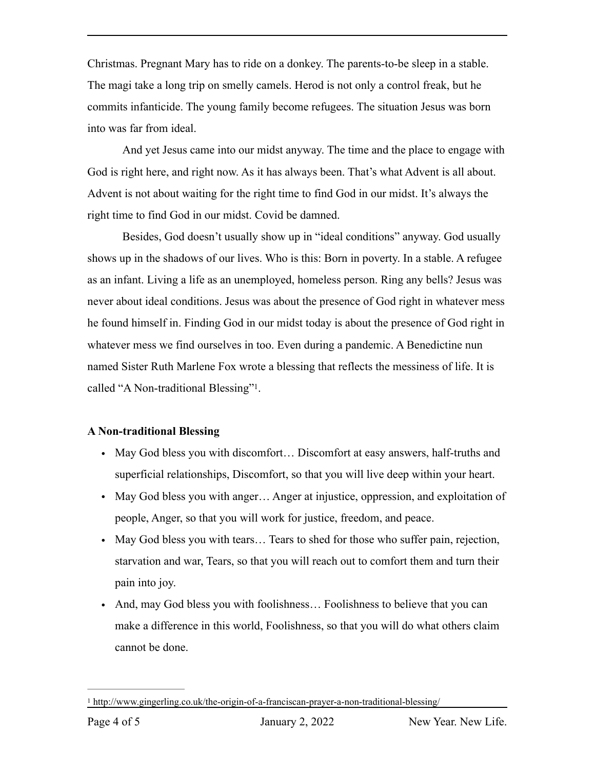Christmas. Pregnant Mary has to ride on a donkey. The parents-to-be sleep in a stable. The magi take a long trip on smelly camels. Herod is not only a control freak, but he commits infanticide. The young family become refugees. The situation Jesus was born into was far from ideal.

And yet Jesus came into our midst anyway. The time and the place to engage with God is right here, and right now. As it has always been. That's what Advent is all about. Advent is not about waiting for the right time to find God in our midst. It's always the right time to find God in our midst. Covid be damned.

Besides, God doesn't usually show up in "ideal conditions" anyway. God usually shows up in the shadows of our lives. Who is this: Born in poverty. In a stable. A refugee as an infant. Living a life as an unemployed, homeless person. Ring any bells? Jesus was never about ideal conditions. Jesus was about the presence of God right in whatever mess he found himself in. Finding God in our midst today is about the presence of God right in whatever mess we find ourselves in too. Even during a pandemic. A Benedictine nun named Sister Ruth Marlene Fox wrote a blessing that reflects the messiness of life. It is called "A Non-traditional Blessing"<sup>[1](#page-3-0)</sup>.

## **A Non-traditional Blessing**

- <span id="page-3-1"></span>• May God bless you with discomfort... Discomfort at easy answers, half-truths and superficial relationships, Discomfort, so that you will live deep within your heart.
- May God bless you with anger... Anger at injustice, oppression, and exploitation of people, Anger, so that you will work for justice, freedom, and peace.
- May God bless you with tears... Tears to shed for those who suffer pain, rejection, starvation and war, Tears, so that you will reach out to comfort them and turn their pain into joy.
- And, may God bless you with foolishness... Foolishness to believe that you can make a difference in this world, Foolishness, so that you will do what others claim cannot be done.

<span id="page-3-0"></span>http://www.gingerling.co.uk/the-origin-of-a-franciscan-prayer-a-non-traditional-blessing/ [1](#page-3-1)